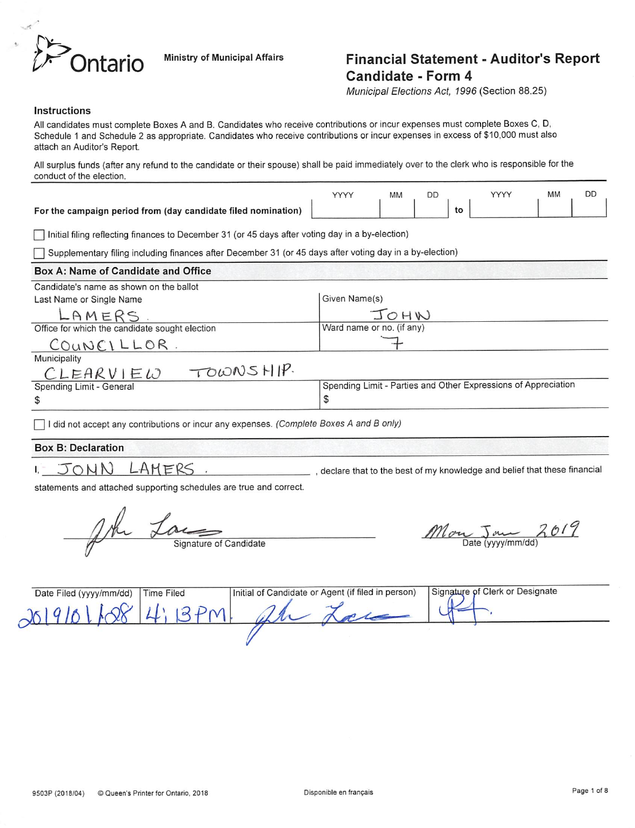

# Ontario Ministry of Municipal Affairs Financial Statement - Auditor's Report Candidate - Form 4

Municipal Elections Act, 7996 (Section 88.25)

#### Instructions

All candidates must complete Boxes A and B. Candidates who receive contributions or incur expenses must complete Boxes C, D, Schedule 1 and Schedule 2 as appropriate. Candidates who receive contributions or incur expenses in excess of \$10,000 must also attach an Auditor's Report.

All surplus funds (after any refund to the candidate or their spouse) shall be paid immediately over to the clerk who is responsible for the conduct of the election.

|                                                                                                          | YYYY                      | MM   | DD | <b>MM</b><br>YYYY                                              | <b>DD</b> |
|----------------------------------------------------------------------------------------------------------|---------------------------|------|----|----------------------------------------------------------------|-----------|
| For the campaign period from (day candidate filed nomination)                                            |                           |      |    | to                                                             |           |
| Initial filing reflecting finances to December 31 (or 45 days after voting day in a by-election)         |                           |      |    |                                                                |           |
| Supplementary filing including finances after December 31 (or 45 days after voting day in a by-election) |                           |      |    |                                                                |           |
| Box A: Name of Candidate and Office                                                                      |                           |      |    |                                                                |           |
| Candidate's name as shown on the ballot                                                                  |                           |      |    |                                                                |           |
| Last Name or Single Name                                                                                 | Given Name(s)             |      |    |                                                                |           |
| LAMERS                                                                                                   |                           | JOHN |    |                                                                |           |
| Office for which the candidate sought election                                                           | Ward name or no. (if any) |      |    |                                                                |           |
| COUNCILLOR.                                                                                              |                           |      |    |                                                                |           |
| Municipality                                                                                             |                           |      |    |                                                                |           |
| TOWNSHIP.<br>CLEARVIEW                                                                                   |                           |      |    |                                                                |           |
| Spending Limit - General                                                                                 |                           |      |    | Spending Limit - Parties and Other Expressions of Appreciation |           |

\$

I did not accept any contributions or incur any expenses. (Complete Boxes A and B only)

#### Box B: Declaration

 $\mathfrak{s}$ 

 $1, -$ 

 $J\overline{\circ}$  MN LAMERS .  $-$  , declare that to the best of my knowledge and belief that these financial

statements and attached supporting schedules are true and correct.

John Lace Signature of Candidate Mon John 2019

| Date Filed (yyyy/mm/dd) | <b>Time Filed</b> | Initial of Candidate or Agent (if filed in person) | Signature of Clerk or Designate |
|-------------------------|-------------------|----------------------------------------------------|---------------------------------|
| 26191                   |                   |                                                    |                                 |
|                         |                   |                                                    |                                 |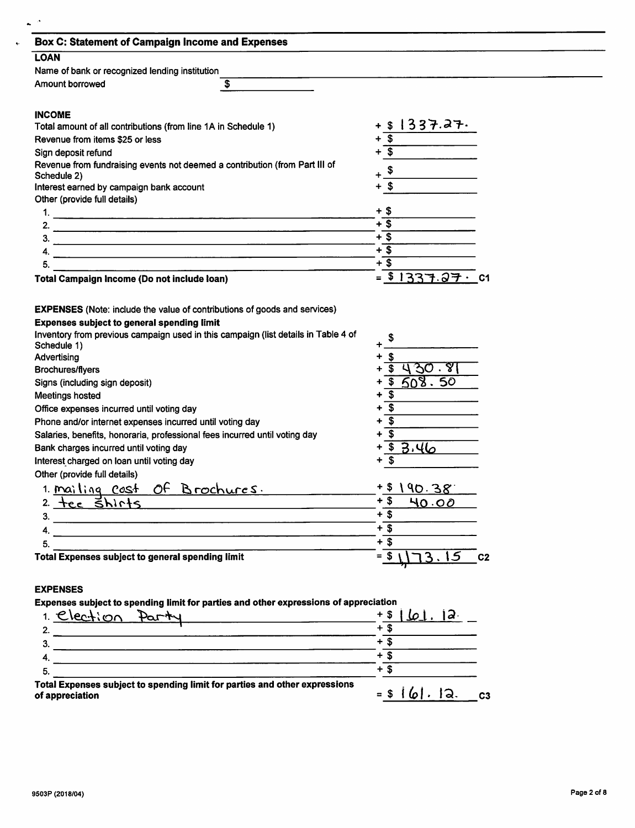| <b>Box C: Statement of Campaign Income and Expenses</b><br><b>LOAN</b><br>Name of bank or recognized lending institution<br>\$<br>Amount borrowed<br><b>INCOME</b><br>Total amount of all contributions (from line 1A in Schedule 1)                                                                          |                                                                         |
|---------------------------------------------------------------------------------------------------------------------------------------------------------------------------------------------------------------------------------------------------------------------------------------------------------------|-------------------------------------------------------------------------|
|                                                                                                                                                                                                                                                                                                               |                                                                         |
|                                                                                                                                                                                                                                                                                                               |                                                                         |
|                                                                                                                                                                                                                                                                                                               |                                                                         |
|                                                                                                                                                                                                                                                                                                               |                                                                         |
|                                                                                                                                                                                                                                                                                                               |                                                                         |
|                                                                                                                                                                                                                                                                                                               | \$1337.27.                                                              |
| Revenue from items \$25 or less                                                                                                                                                                                                                                                                               | s)                                                                      |
| Sign deposit refund                                                                                                                                                                                                                                                                                           | $\overline{\mathbf{s}}$                                                 |
| Revenue from fundraising events not deemed a contribution (from Part III of                                                                                                                                                                                                                                   |                                                                         |
| Schedule 2)                                                                                                                                                                                                                                                                                                   |                                                                         |
| Interest earned by campaign bank account                                                                                                                                                                                                                                                                      | $+$ \$                                                                  |
| Other (provide full details)                                                                                                                                                                                                                                                                                  |                                                                         |
|                                                                                                                                                                                                                                                                                                               | + \$<br>$+\overline{\$}$                                                |
|                                                                                                                                                                                                                                                                                                               | $+\overline{\$}$                                                        |
| 3.<br><u>.</u><br>1980 - Paul Barnett, fransk politik amerikansk politik (* 1908)                                                                                                                                                                                                                             | $+\overline{\$}$                                                        |
| 4.                                                                                                                                                                                                                                                                                                            | $+3$                                                                    |
| 5.<br><u> 1989 - John Stone Barnett, fransk konge en staten i store og det forskellige og det som som som en som som s</u>                                                                                                                                                                                    |                                                                         |
| Total Campaign Income (Do not include loan)                                                                                                                                                                                                                                                                   | $= $1337.27 \cdot C1$                                                   |
|                                                                                                                                                                                                                                                                                                               | \$430.81                                                                |
| <b>Brochures/flyers</b><br>Signs (including sign deposit)<br>Meetings hosted<br>Office expenses incurred until voting day<br>Phone and/or internet expenses incurred until voting day<br>Salaries, benefits, honoraria, professional fees incurred until voting day<br>Bank charges incurred until voting day | \$608.50<br>$\overline{\mathbf{3}}$<br>$+$ \$<br>$+$ \$<br>\$<br>\$3.46 |
| Interest charged on loan until voting day                                                                                                                                                                                                                                                                     | \$                                                                      |
|                                                                                                                                                                                                                                                                                                               |                                                                         |
| Other (provide full details)<br>1. <u>Mailing cost of Brochures</u> .                                                                                                                                                                                                                                         | $+$ \$<br>190.38                                                        |
| 2 tec shirts                                                                                                                                                                                                                                                                                                  | $+$ \$<br>40.00                                                         |
|                                                                                                                                                                                                                                                                                                               | $+$ \$                                                                  |
|                                                                                                                                                                                                                                                                                                               | $+$ \$                                                                  |
| 5.<br>ь.<br>Total Expenses subject to general spending limit                                                                                                                                                                                                                                                  | $+5$<br>$=$ \$ $173.15$ c2                                              |

5.

 $\hat{\mathbf{v}}$ 

Total Expenses subject to spending limit for parties and other expressions of appreciation  $=$   $\frac{1}{0}$   $\frac{1}{0}$   $\frac{1}{0}$   $\frac{1}{0}$   $\frac{1}{0}$   $\frac{1}{0}$   $\frac{1}{0}$   $\frac{1}{0}$   $\frac{1}{0}$   $\frac{1}{0}$   $\frac{1}{0}$   $\frac{1}{0}$   $\frac{1}{0}$   $\frac{1}{0}$   $\frac{1}{0}$   $\frac{1}{0}$   $\frac{1}{0}$   $\frac{1}{0}$   $\frac{1}{0}$   $\frac{1}{0}$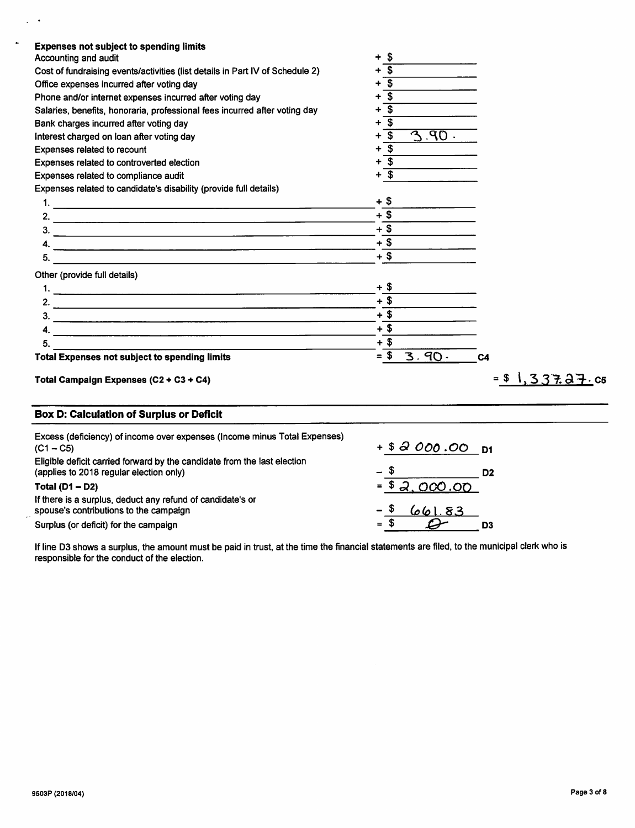| $3.90 -$                   |
|----------------------------|
|                            |
|                            |
|                            |
|                            |
|                            |
|                            |
|                            |
|                            |
|                            |
|                            |
|                            |
|                            |
|                            |
|                            |
|                            |
|                            |
|                            |
|                            |
| $3.90 -$<br>C <sub>4</sub> |
| $= $1, 337.27.$ C5         |
|                            |

| Excess (deficiency) of income over expenses (income minus Total Expenses)<br>$(C1 - C5)$                            | $+ $3000.00$ D1 |    |
|---------------------------------------------------------------------------------------------------------------------|-----------------|----|
| Eligible deficit carried forward by the candidate from the last election<br>(applies to 2018 regular election only) | - \$            | D2 |
| <b>Total (D1 - D2)</b>                                                                                              | $= $2,000.00$   |    |
| If there is a surplus, deduct any refund of candidate's or<br>spouse's contributions to the campaign                | - \$<br>661.83  |    |
| Surplus (or deficit) for the campaign                                                                               | $=$ \$          |    |

if line D3 shows a surplus, the amount must be paid in trust, at the time the financial statements are filed, to the municipal clerk who is responsible for the conduct of the election.

 $\omega$  .

 $\ddot{\phantom{a}}$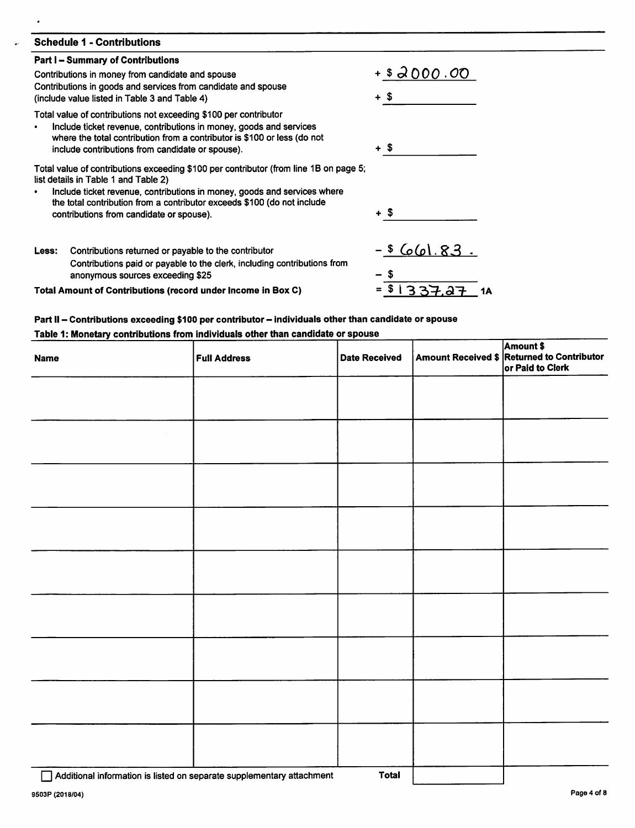|       | <b>Schedule 1 - Contributions</b>                                                                                                                                                                                                                                                                                                |                      |
|-------|----------------------------------------------------------------------------------------------------------------------------------------------------------------------------------------------------------------------------------------------------------------------------------------------------------------------------------|----------------------|
|       | <b>Part I – Summary of Contributions</b>                                                                                                                                                                                                                                                                                         |                      |
|       | Contributions in money from candidate and spouse<br>Contributions in goods and services from candidate and spouse<br>(include value listed in Table 3 and Table 4)                                                                                                                                                               | $+ $3000.00$<br>+ \$ |
| ٠     | Total value of contributions not exceeding \$100 per contributor<br>Include ticket revenue, contributions in money, goods and services<br>where the total contribution from a contributor is \$100 or less (do not<br>include contributions from candidate or spouse).                                                           | + \$                 |
|       | Total value of contributions exceeding \$100 per contributor (from line 1B on page 5;<br>list details in Table 1 and Table 2)<br>Include ticket revenue, contributions in money, goods and services where<br>the total contribution from a contributor exceeds \$100 (do not include<br>contributions from candidate or spouse). | + \$                 |
| Less: | Contributions returned or payable to the contributor<br>Contributions paid or payable to the clerk, including contributions from<br>anonymous sources exceeding \$25                                                                                                                                                             | - \$ 661.83.         |
|       | Total Amount of Contributions (record under Income in Box C)                                                                                                                                                                                                                                                                     | 337.87<br>1Α         |

# Part II - Contributions exceeding \$100 per contributor - individuals other than candidate or spouse Table 1: Monetary contributions from individuals other than candidate or spouse

| <b>Full Address</b> | <b>Date Received</b> | Amount \$<br>Amount Received \$ Returned to Contributor<br>or Paid to Clerk |
|---------------------|----------------------|-----------------------------------------------------------------------------|
|                     |                      |                                                                             |
|                     |                      |                                                                             |
|                     |                      |                                                                             |
|                     |                      |                                                                             |
|                     |                      |                                                                             |
|                     |                      |                                                                             |
|                     |                      |                                                                             |
|                     |                      |                                                                             |
|                     |                      |                                                                             |
|                     |                      |                                                                             |

□ Additional information is listed on separate supplementary attachment Total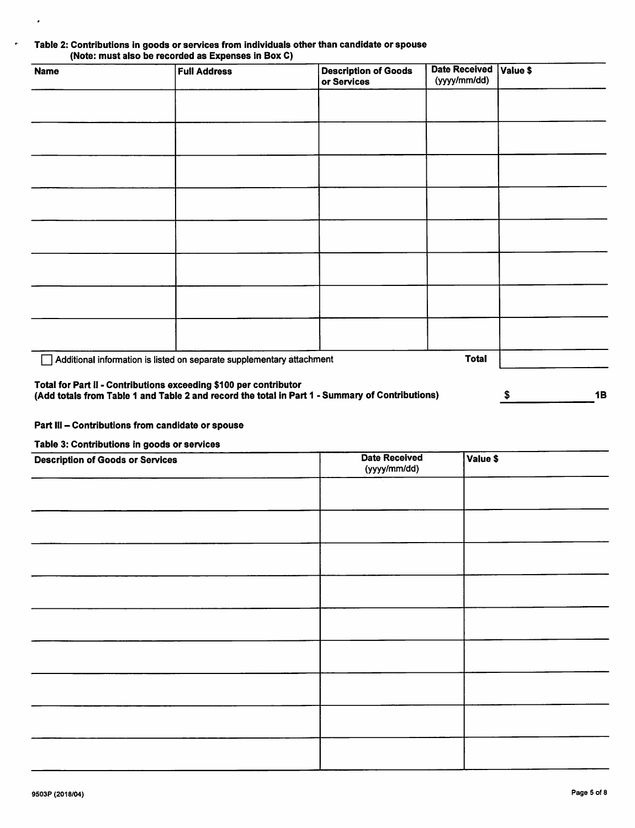## Table 2: Contributions In goods or services from Individuals other than candidate or spouse (Note: must also be recorded as Expenses In Box 0)

| <b>Name</b>                                                       | <b>Full Address</b>                                                   | <b>Description of Goods</b><br>or Services | <b>Date Received</b><br>(yyyy/mm/dd) | Value \$ |
|-------------------------------------------------------------------|-----------------------------------------------------------------------|--------------------------------------------|--------------------------------------|----------|
|                                                                   |                                                                       |                                            |                                      |          |
|                                                                   |                                                                       |                                            |                                      |          |
|                                                                   |                                                                       |                                            |                                      |          |
|                                                                   |                                                                       |                                            |                                      |          |
|                                                                   |                                                                       |                                            |                                      |          |
|                                                                   |                                                                       |                                            |                                      |          |
|                                                                   |                                                                       |                                            |                                      |          |
|                                                                   |                                                                       |                                            |                                      |          |
|                                                                   | Additional information is listed on separate supplementary attachment |                                            | <b>Total</b>                         |          |
| Total for Part II - Contributions exceeding \$100 per contributor |                                                                       |                                            |                                      |          |

# (Add totals from Table 1 and Table 2 and record the total in Part 1 - Summary of Contributions)  $\sim$  8

## Part III - Contributions from candidate or spouse

# Table 3: Contributions in goods or services

 $\bullet$ 

| <b>Description of Goods or Services</b> | <b>Date Received</b><br>(yyyy/mm/dd) | Value \$ |
|-----------------------------------------|--------------------------------------|----------|
|                                         |                                      |          |
|                                         |                                      |          |
|                                         |                                      |          |
|                                         |                                      |          |
|                                         |                                      |          |
|                                         |                                      |          |
|                                         |                                      |          |
|                                         |                                      |          |
|                                         |                                      |          |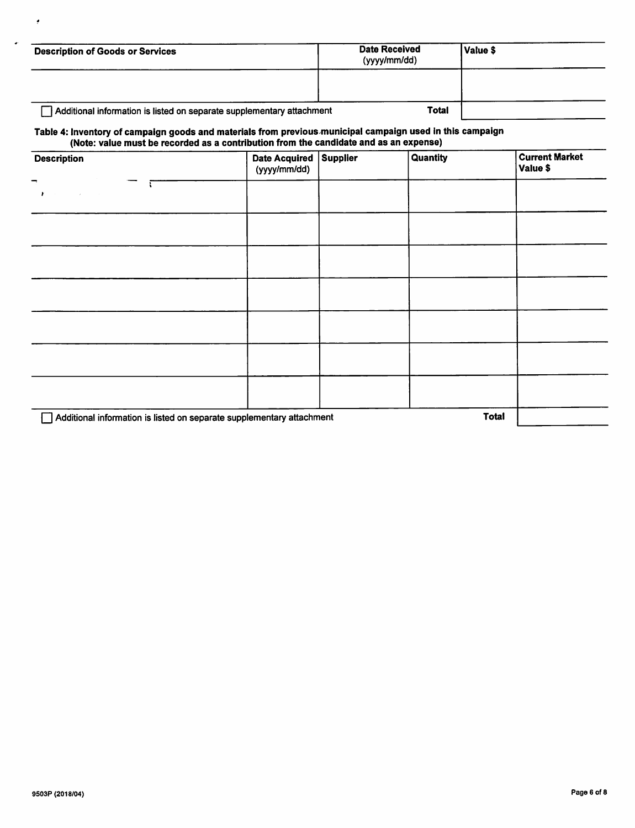| <b>Description of Goods or Services</b>                               | <b>Date Received</b><br>(yyyy/mm/dd) | Value \$ |  |
|-----------------------------------------------------------------------|--------------------------------------|----------|--|
|                                                                       |                                      |          |  |
| Additional information is listed on separate supplementary attachment | <b>Total</b>                         |          |  |

# Table 4: Inventory of campaign goods and materials from previous municipal campaign used in this campaign (Note: value must be recorded as a contribution from the candidate and as an expense)

| . .<br><b>Description</b>                                             | Date Acquired Supplier<br>(yyyy/mm/dd) | <b>Quantity</b> | <b>Current Market</b><br>Value \$ |
|-----------------------------------------------------------------------|----------------------------------------|-----------------|-----------------------------------|
| $\blacksquare$<br>×                                                   |                                        |                 |                                   |
|                                                                       |                                        |                 |                                   |
|                                                                       |                                        |                 |                                   |
|                                                                       |                                        |                 |                                   |
|                                                                       |                                        |                 |                                   |
|                                                                       |                                        |                 |                                   |
|                                                                       |                                        |                 |                                   |
| Additional information is listed on separate supplementary attachment |                                        |                 | <b>Total</b>                      |

 $\bullet$ 

 $\ddot{\phantom{0}}$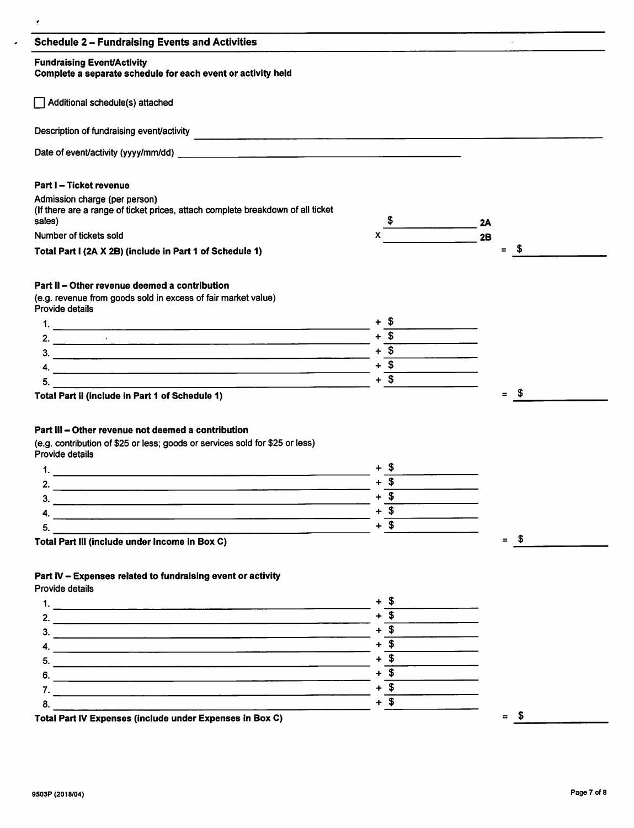| <b>Fundraising Event/Activity</b><br>Complete a separate schedule for each event or activity held                                                                                                        |                  |                 |      |
|----------------------------------------------------------------------------------------------------------------------------------------------------------------------------------------------------------|------------------|-----------------|------|
| Additional schedule(s) attached                                                                                                                                                                          |                  |                 |      |
|                                                                                                                                                                                                          |                  |                 |      |
|                                                                                                                                                                                                          |                  |                 |      |
| Part I - Ticket revenue                                                                                                                                                                                  |                  |                 |      |
| Admission charge (per person)<br>(If there are a range of ticket prices, attach complete breakdown of all ticket<br>sales)                                                                               |                  | 2A              |      |
| Number of tickets sold                                                                                                                                                                                   | X.               | $\overline{2B}$ |      |
| Total Part I (2A X 2B) (include in Part 1 of Schedule 1)                                                                                                                                                 |                  | E               | \$   |
| Part II - Other revenue deemed a contribution                                                                                                                                                            |                  |                 |      |
| (e.g. revenue from goods sold in excess of fair market value)<br>Provide details                                                                                                                         |                  |                 |      |
|                                                                                                                                                                                                          | + ა              |                 |      |
|                                                                                                                                                                                                          | $+$ \$           |                 |      |
| 3.                                                                                                                                                                                                       | $+\overline{\$}$ |                 |      |
| 4.                                                                                                                                                                                                       | $+$ \$           |                 |      |
| 5.<br><u> 1980 - Johann Stein, mars an de Francisco Americano (f. 1980)</u>                                                                                                                              | $+$ \$           |                 |      |
| Total Part II (include in Part 1 of Schedule 1)<br>Part III - Other revenue not deemed a contribution<br>(e.g. contribution of \$25 or less; goods or services sold for \$25 or less)<br>Provide details |                  |                 |      |
|                                                                                                                                                                                                          | + S              |                 |      |
| 2.                                                                                                                                                                                                       | $+$ \$           |                 |      |
|                                                                                                                                                                                                          |                  |                 |      |
| <u> 2002 - Jan Barristo, martin da basar da basar da basar da basar da basar da basar da basar da basar da basar</u>                                                                                     | $+$ \$           |                 |      |
| 3.                                                                                                                                                                                                       |                  |                 |      |
|                                                                                                                                                                                                          | $+$ \$           |                 |      |
| 5.<br>the contract of the contract of the contract of<br>Total Part III (include under Income in Box C)                                                                                                  | $+$ \$           | $\equiv$        | - \$ |
| Part IV - Expenses related to fundraising event or activity<br>Provide details                                                                                                                           |                  |                 |      |
|                                                                                                                                                                                                          | + \$             |                 |      |
|                                                                                                                                                                                                          |                  |                 |      |
|                                                                                                                                                                                                          | $+$ \$           |                 |      |
|                                                                                                                                                                                                          | $+$ \$           |                 |      |
|                                                                                                                                                                                                          | $+$ \$           |                 |      |
|                                                                                                                                                                                                          | $+$ \$           |                 |      |
|                                                                                                                                                                                                          | $+ $$            |                 |      |
| 8.                                                                                                                                                                                                       | $+$ \$           |                 |      |

 $\mathcal{L}=\mathcal{L}$ 

 $\sim$